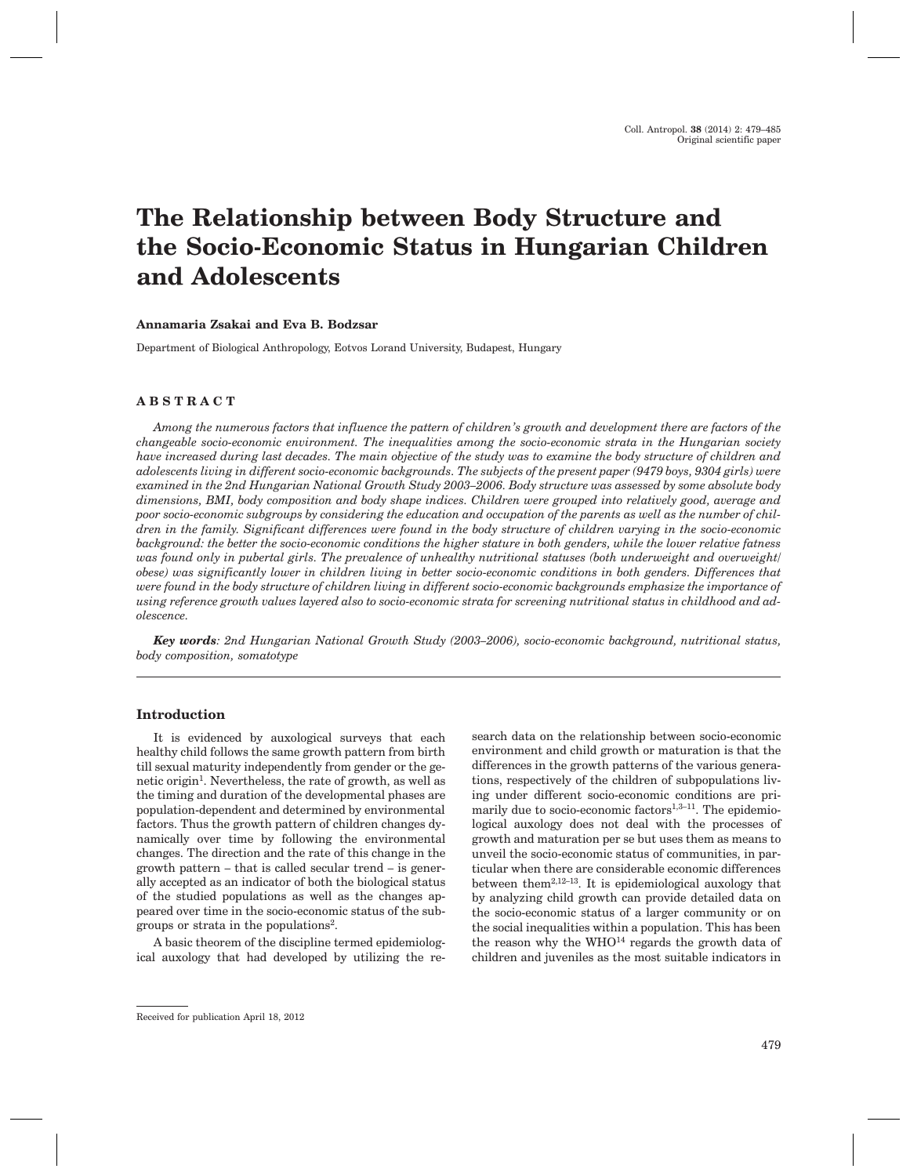# **The Relationship between Body Structure and the Socio-Economic Status in Hungarian Children and Adolescents**

## **Annamaria Zsakai and Eva B. Bodzsar**

Department of Biological Anthropology, Eotvos Lorand University, Budapest, Hungary

# **ABSTRACT**

*Among the numerous factors that influence the pattern of children's growth and development there are factors of the changeable socio-economic environment. The inequalities among the socio-economic strata in the Hungarian society have increased during last decades. The main objective of the study was to examine the body structure of children and adolescents living in different socio-economic backgrounds. The subjects of the present paper (9479 boys, 9304 girls) were examined in the 2nd Hungarian National Growth Study 2003–2006. Body structure was assessed by some absolute body dimensions, BMI, body composition and body shape indices. Children were grouped into relatively good, average and poor socio-economic subgroups by considering the education and occupation of the parents as well as the number of children in the family. Significant differences were found in the body structure of children varying in the socio-economic background: the better the socio-economic conditions the higher stature in both genders, while the lower relative fatness was found only in pubertal girls. The prevalence of unhealthy nutritional statuses (both underweight and overweight/ obese) was significantly lower in children living in better socio-economic conditions in both genders. Differences that were found in the body structure of children living in different socio-economic backgrounds emphasize the importance of using reference growth values layered also to socio-economic strata for screening nutritional status in childhood and adolescence.*

*Key words: 2nd Hungarian National Growth Study (2003–2006), socio-economic background, nutritional status, body composition, somatotype*

## **Introduction**

It is evidenced by auxological surveys that each healthy child follows the same growth pattern from birth till sexual maturity independently from gender or the genetic origin<sup>1</sup>. Nevertheless, the rate of growth, as well as the timing and duration of the developmental phases are population-dependent and determined by environmental factors. Thus the growth pattern of children changes dynamically over time by following the environmental changes. The direction and the rate of this change in the growth pattern – that is called secular trend – is generally accepted as an indicator of both the biological status of the studied populations as well as the changes appeared over time in the socio-economic status of the subgroups or strata in the populations2.

A basic theorem of the discipline termed epidemiological auxology that had developed by utilizing the research data on the relationship between socio-economic environment and child growth or maturation is that the differences in the growth patterns of the various generations, respectively of the children of subpopulations living under different socio-economic conditions are primarily due to socio-economic factors $1,3-11$ . The epidemiological auxology does not deal with the processes of growth and maturation per se but uses them as means to unveil the socio-economic status of communities, in particular when there are considerable economic differences between them2,12–13. It is epidemiological auxology that by analyzing child growth can provide detailed data on the socio-economic status of a larger community or on the social inequalities within a population. This has been the reason why the  $WHO<sup>14</sup>$  regards the growth data of children and juveniles as the most suitable indicators in

Received for publication April 18, 2012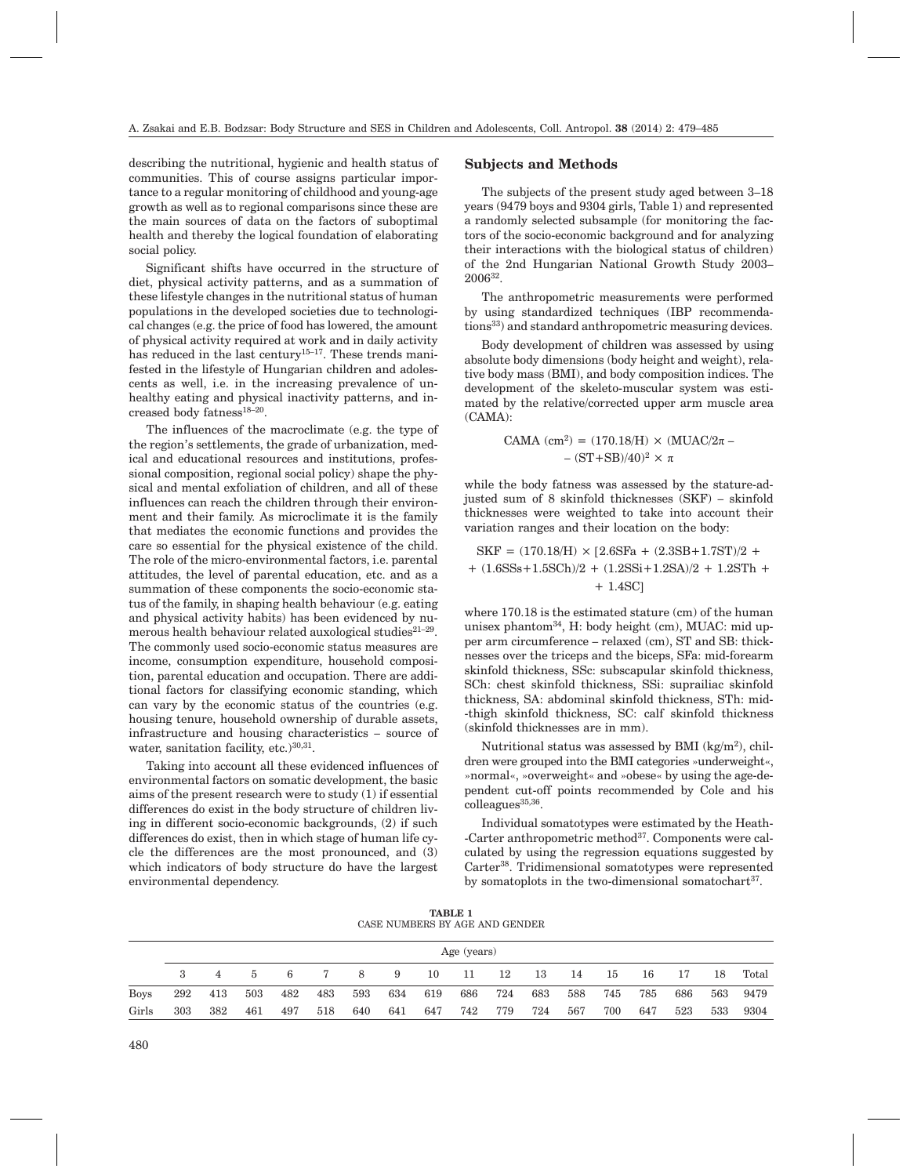describing the nutritional, hygienic and health status of communities. This of course assigns particular importance to a regular monitoring of childhood and young-age growth as well as to regional comparisons since these are the main sources of data on the factors of suboptimal health and thereby the logical foundation of elaborating social policy.

Significant shifts have occurred in the structure of diet, physical activity patterns, and as a summation of these lifestyle changes in the nutritional status of human populations in the developed societies due to technological changes (e.g. the price of food has lowered, the amount of physical activity required at work and in daily activity has reduced in the last century<sup>15-17</sup>. These trends manifested in the lifestyle of Hungarian children and adolescents as well, i.e. in the increasing prevalence of unhealthy eating and physical inactivity patterns, and increased body fatness18–20.

The influences of the macroclimate (e.g. the type of the region's settlements, the grade of urbanization, medical and educational resources and institutions, professional composition, regional social policy) shape the physical and mental exfoliation of children, and all of these influences can reach the children through their environment and their family. As microclimate it is the family that mediates the economic functions and provides the care so essential for the physical existence of the child. The role of the micro-environmental factors, i.e. parental attitudes, the level of parental education, etc. and as a summation of these components the socio-economic status of the family, in shaping health behaviour (e.g. eating and physical activity habits) has been evidenced by numerous health behaviour related auxological studies $2^{1-29}$ . The commonly used socio-economic status measures are income, consumption expenditure, household composition, parental education and occupation. There are additional factors for classifying economic standing, which can vary by the economic status of the countries (e.g. housing tenure, household ownership of durable assets, infrastructure and housing characteristics – source of water, sanitation facility, etc.)<sup>30,31</sup>.

Taking into account all these evidenced influences of environmental factors on somatic development, the basic aims of the present research were to study (1) if essential differences do exist in the body structure of children living in different socio-economic backgrounds, (2) if such differences do exist, then in which stage of human life cycle the differences are the most pronounced, and (3) which indicators of body structure do have the largest environmental dependency.

## **Subjects and Methods**

The subjects of the present study aged between 3–18 years (9479 boys and 9304 girls, Table 1) and represented a randomly selected subsample (for monitoring the factors of the socio-economic background and for analyzing their interactions with the biological status of children) of the 2nd Hungarian National Growth Study 2003– 200632.

The anthropometric measurements were performed by using standardized techniques (IBP recommendations<sup>33</sup>) and standard anthropometric measuring devices.

Body development of children was assessed by using absolute body dimensions (body height and weight), relative body mass (BMI), and body composition indices. The development of the skeleto-muscular system was estimated by the relative/corrected upper arm muscle area (CAMA):

$$
CAMA (cm2) = (170.18/H) × (MUAC/2π −− (ST + SB)/40)2 × π
$$

while the body fatness was assessed by the stature-adjusted sum of 8 skinfold thicknesses (SKF) – skinfold thicknesses were weighted to take into account their variation ranges and their location on the body:

$$
SKF = (170.18/H) \times [2.6SFa + (2.3SB + 1.7ST)/2 ++ (1.6SSs + 1.5SCh)/2 + (1.2SSi + 1.2SA)/2 + 1.2STh ++ 1.4SC]
$$

where 170.18 is the estimated stature (cm) of the human unisex phantom $34$ . H: body height (cm), MUAC: mid upper arm circumference – relaxed (cm), ST and SB: thicknesses over the triceps and the biceps, SFa: mid-forearm skinfold thickness, SSc: subscapular skinfold thickness, SCh: chest skinfold thickness, SSi: suprailiac skinfold thickness, SA: abdominal skinfold thickness, STh: mid- -thigh skinfold thickness, SC: calf skinfold thickness (skinfold thicknesses are in mm).

Nutritional status was assessed by BMI  $(kg/m<sup>2</sup>)$ , children were grouped into the BMI categories »underweight«, »normal«, »overweight« and »obese« by using the age-dependent cut-off points recommended by Cole and his  $colleagues<sup>35,36</sup>$ .

Individual somatotypes were estimated by the Heath- -Carter anthropometric method37. Components were calculated by using the regression equations suggested by Carter38. Tridimensional somatotypes were represented by somatoplots in the two-dimensional somatochart $37$ .

**TABLE 1** CASE NUMBERS BY AGE AND GENDER

|             |     | Age (years) |     |     |     |     |     |     |     |     |     |     |     |     |     |     |       |
|-------------|-----|-------------|-----|-----|-----|-----|-----|-----|-----|-----|-----|-----|-----|-----|-----|-----|-------|
|             |     |             | 5.  | 6   |     | 8   | 9   | 10  | -11 | -12 | 13  | -14 | 15  | 16  | 17  | 18  | Total |
| <b>Boys</b> | 292 | 413         | 503 | 482 | 483 | 593 | 634 | 619 | 686 | 724 | 683 | 588 | 745 | 785 | 686 | 563 | 9479  |
| Girls       | 303 | 382         | 461 | 497 | 518 | 640 | 641 | 647 | 742 | 779 | 724 | 567 | 700 | 647 | 523 | 533 | 9304  |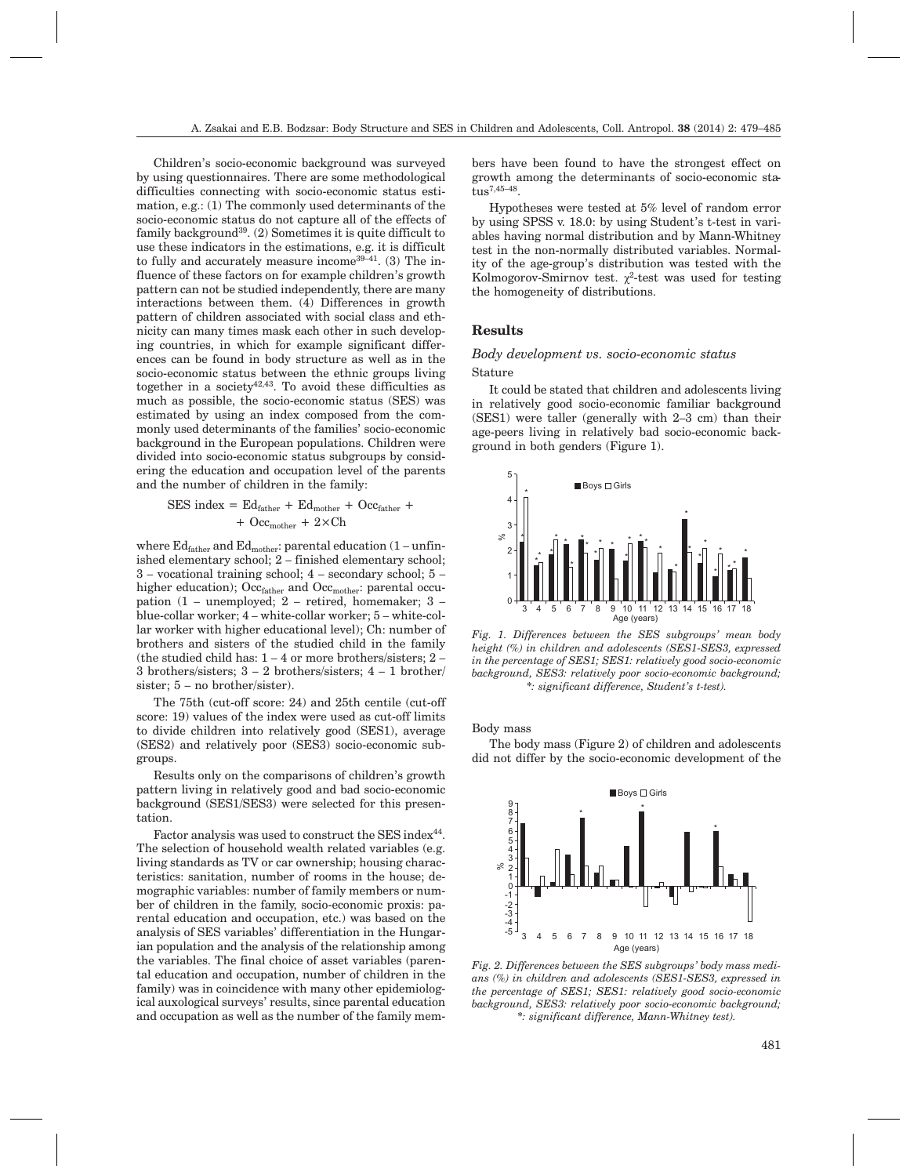Children's socio-economic background was surveyed by using questionnaires. There are some methodological difficulties connecting with socio-economic status estimation, e.g.: (1) The commonly used determinants of the socio-economic status do not capture all of the effects of family background<sup>39</sup>. (2) Sometimes it is quite difficult to use these indicators in the estimations, e.g. it is difficult to fully and accurately measure income  $39-41$ . (3) The influence of these factors on for example children's growth pattern can not be studied independently, there are many interactions between them. (4) Differences in growth pattern of children associated with social class and ethnicity can many times mask each other in such developing countries, in which for example significant differences can be found in body structure as well as in the socio-economic status between the ethnic groups living together in a society<sup>42,43</sup>. To avoid these difficulties as much as possible, the socio-economic status (SES) was estimated by using an index composed from the commonly used determinants of the families' socio-economic background in the European populations. Children were divided into socio-economic status subgroups by considering the education and occupation level of the parents and the number of children in the family:

$$
SES index = Ed_{father} + Ed_{mother} + Occ_{father} + \n+ Occ_{other} + 2 \times Ch
$$

where  $Ed_{father}$  and  $Ed_{mother}$ : parental education (1 – unfinished elementary school; 2 – finished elementary school; 3 – vocational training school; 4 – secondary school; 5 – higher education); Occ<sub>father</sub> and Occ<sub>mother</sub>: parental occupation (1 – unemployed; 2 – retired, homemaker; 3 – blue-collar worker; 4 – white-collar worker; 5 – white-collar worker with higher educational level); Ch: number of brothers and sisters of the studied child in the family (the studied child has: 1 – 4 or more brothers/sisters; 2 – 3 brothers/sisters; 3 – 2 brothers/sisters; 4 – 1 brother/ sister; 5 – no brother/sister).

The 75th (cut-off score: 24) and 25th centile (cut-off score: 19) values of the index were used as cut-off limits to divide children into relatively good (SES1), average (SES2) and relatively poor (SES3) socio-economic subgroups.

Results only on the comparisons of children's growth pattern living in relatively good and bad socio-economic background (SES1/SES3) were selected for this presentation.

Factor analysis was used to construct the SES index<sup>44</sup>. The selection of household wealth related variables (e.g. living standards as TV or car ownership; housing characteristics: sanitation, number of rooms in the house; demographic variables: number of family members or number of children in the family, socio-economic proxis: parental education and occupation, etc.) was based on the analysis of SES variables' differentiation in the Hungarian population and the analysis of the relationship among the variables. The final choice of asset variables (parental education and occupation, number of children in the family) was in coincidence with many other epidemiological auxological surveys' results, since parental education and occupation as well as the number of the family members have been found to have the strongest effect on growth among the determinants of socio-economic status7,45–48.

Hypotheses were tested at 5% level of random error by using SPSS v. 18.0: by using Student's t-test in variables having normal distribution and by Mann-Whitney test in the non-normally distributed variables. Normality of the age-group's distribution was tested with the Kolmogorov-Smirnov test.  $\chi^2$ -test was used for testing the homogeneity of distributions.

# **Results**

# *Body development vs. socio-economic status* Stature

It could be stated that children and adolescents living in relatively good socio-economic familiar background (SES1) were taller (generally with 2–3 cm) than their age-peers living in relatively bad socio-economic background in both genders (Figure 1).



*Fig. 1. Differences between the SES subgroups' mean body height (%) in children and adolescents (SES1-SES3, expressed in the percentage of SES1; SES1: relatively good socio-economic background, SES3: relatively poor socio-economic background; \*: significant difference, Student's t-test).*

Body mass

The body mass (Figure 2) of children and adolescents did not differ by the socio-economic development of the



*Fig. 2. Differences between the SES subgroups' body mass medians (%) in children and adolescents (SES1-SES3, expressed in the percentage of SES1; SES1: relatively good socio-economic background, SES3: relatively poor socio-economic background; \*: significant difference, Mann-Whitney test).*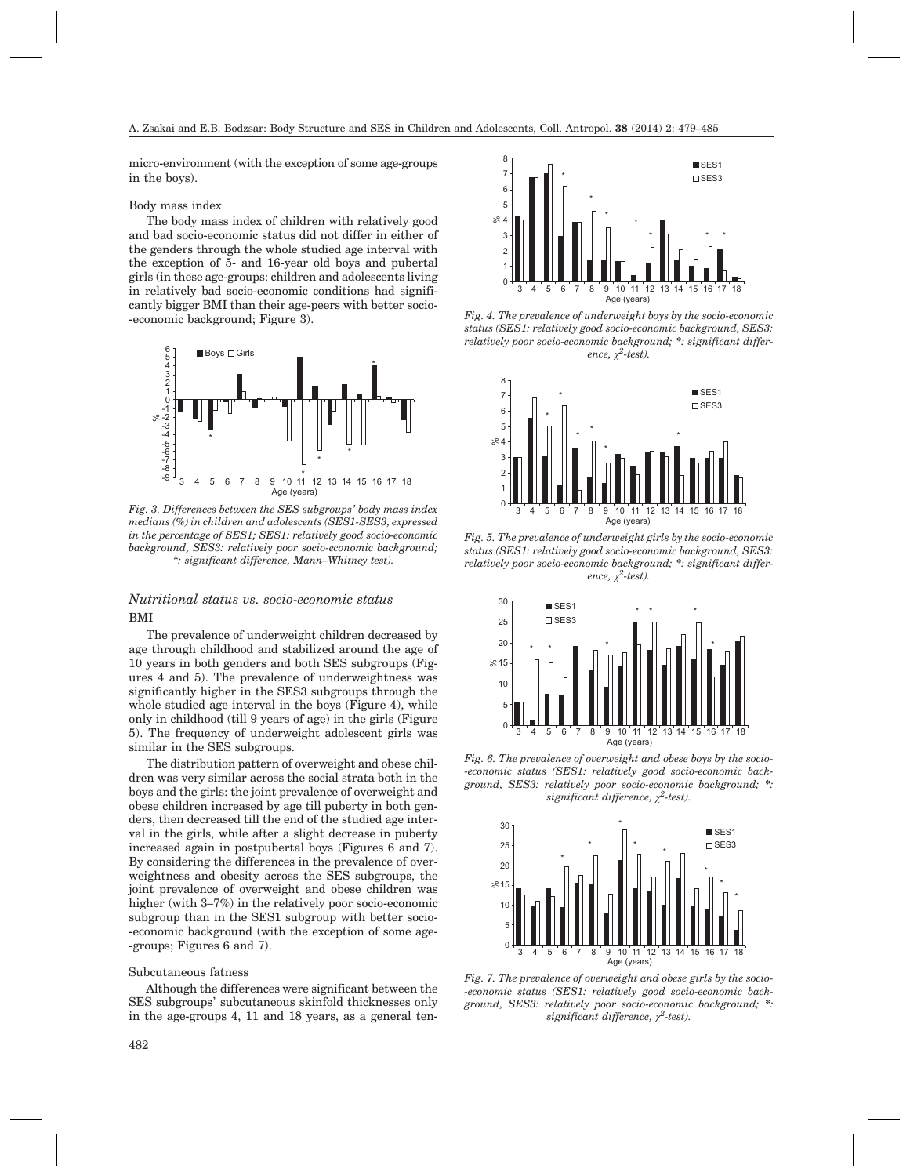micro-environment (with the exception of some age-groups in the boys).

#### Body mass index

The body mass index of children with relatively good and bad socio-economic status did not differ in either of the genders through the whole studied age interval with the exception of 5- and 16-year old boys and pubertal girls (in these age-groups: children and adolescents living in relatively bad socio-economic conditions had significantly bigger BMI than their age-peers with better socio- -economic background; Figure 3).



*Fig. 3. Differences between the SES subgroups' body mass index medians (%) in children and adolescents (SES1-SES3, expressed in the percentage of SES1; SES1: relatively good socio-economic background, SES3: relatively poor socio-economic background; \*: significant difference, Mann–Whitney test).*

# *Nutritional status vs. socio-economic status* BMI

The prevalence of underweight children decreased by age through childhood and stabilized around the age of 10 years in both genders and both SES subgroups (Figures 4 and 5). The prevalence of underweightness was significantly higher in the SES3 subgroups through the whole studied age interval in the boys (Figure 4), while only in childhood (till 9 years of age) in the girls (Figure 5). The frequency of underweight adolescent girls was similar in the SES subgroups.

The distribution pattern of overweight and obese children was very similar across the social strata both in the boys and the girls: the joint prevalence of overweight and obese children increased by age till puberty in both genders, then decreased till the end of the studied age interval in the girls, while after a slight decrease in puberty increased again in postpubertal boys (Figures 6 and 7). By considering the differences in the prevalence of overweightness and obesity across the SES subgroups, the joint prevalence of overweight and obese children was higher (with 3–7%) in the relatively poor socio-economic subgroup than in the SES1 subgroup with better socio- -economic background (with the exception of some age- -groups; Figures 6 and 7).

#### Subcutaneous fatness

Although the differences were significant between the SES subgroups' subcutaneous skinfold thicknesses only in the age-groups 4, 11 and 18 years, as a general ten-



*Fig. 4. The prevalence of underweight boys by the socio-economic status (SES1: relatively good socio-economic background, SES3: relatively poor socio-economic background; \*: significant difference,*  $\chi^2$ -test).



*Fig. 5. The prevalence of underweight girls by the socio-economic status (SES1: relatively good socio-economic background, SES3: relatively poor socio-economic background; \*: significant difference,*  $\chi^2$ -test).



*Fig. 6. The prevalence of overweight and obese boys by the socio- -economic status (SES1: relatively good socio-economic background, SES3: relatively poor socio-economic background; \*: significant difference, ÷2-test).*



*Fig. 7. The prevalence of overweight and obese girls by the socio- -economic status (SES1: relatively good socio-economic background, SES3: relatively poor socio-economic background; \*: significant difference, ÷2-test).*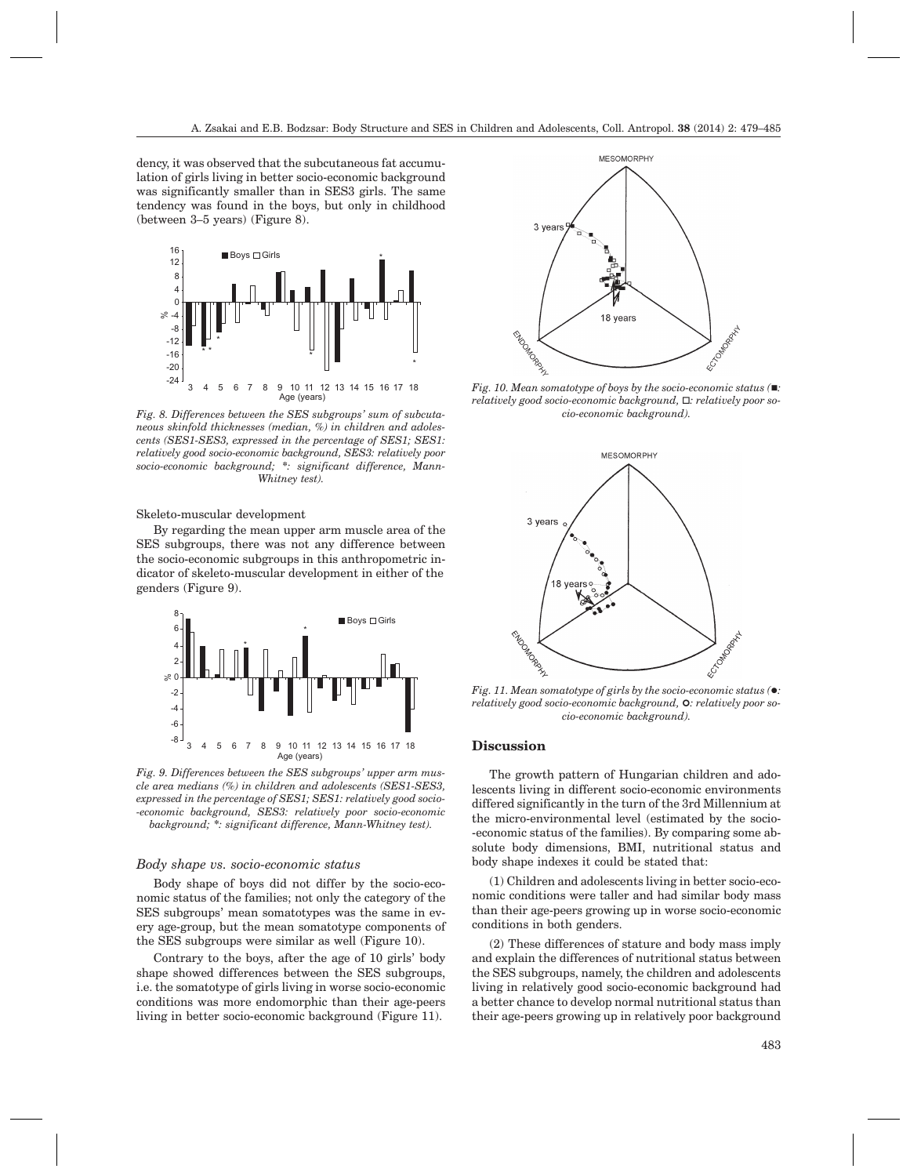dency, it was observed that the subcutaneous fat accumulation of girls living in better socio-economic background was significantly smaller than in SES3 girls. The same tendency was found in the boys, but only in childhood (between 3–5 years) (Figure 8).



*Fig. 8. Differences between the SES subgroups' sum of subcutaneous skinfold thicknesses (median, %) in children and adolescents (SES1-SES3, expressed in the percentage of SES1; SES1: relatively good socio-economic background, SES3: relatively poor socio-economic background; \*: significant difference, Mann-Whitney test).*

Skeleto-muscular development

By regarding the mean upper arm muscle area of the SES subgroups, there was not any difference between the socio-economic subgroups in this anthropometric indicator of skeleto-muscular development in either of the genders (Figure 9).



*Fig. 9. Differences between the SES subgroups' upper arm muscle area medians (%) in children and adolescents (SES1-SES3, expressed in the percentage of SES1; SES1: relatively good socio- -economic background, SES3: relatively poor socio-economic background; \*: significant difference, Mann-Whitney test).*

#### *Body shape vs. socio-economic status*

Body shape of boys did not differ by the socio-economic status of the families; not only the category of the SES subgroups' mean somatotypes was the same in every age-group, but the mean somatotype components of the SES subgroups were similar as well (Figure 10).

Contrary to the boys, after the age of 10 girls' body shape showed differences between the SES subgroups, i.e. the somatotype of girls living in worse socio-economic conditions was more endomorphic than their age-peers living in better socio-economic background (Figure 11).



*Fig. 10. Mean somatotype of boys by the socio-economic status (:* relatively good socio-economic background,  $\Box$ : relatively poor so*cio-economic background).*



*relatively good socio-economic background,* **0***: relatively poor socio-economic background).*

# **Discussion**

The growth pattern of Hungarian children and adolescents living in different socio-economic environments differed significantly in the turn of the 3rd Millennium at the micro-environmental level (estimated by the socio- -economic status of the families). By comparing some absolute body dimensions, BMI, nutritional status and body shape indexes it could be stated that:

(1) Children and adolescents living in better socio-economic conditions were taller and had similar body mass than their age-peers growing up in worse socio-economic conditions in both genders.

(2) These differences of stature and body mass imply and explain the differences of nutritional status between the SES subgroups, namely, the children and adolescents living in relatively good socio-economic background had a better chance to develop normal nutritional status than their age-peers growing up in relatively poor background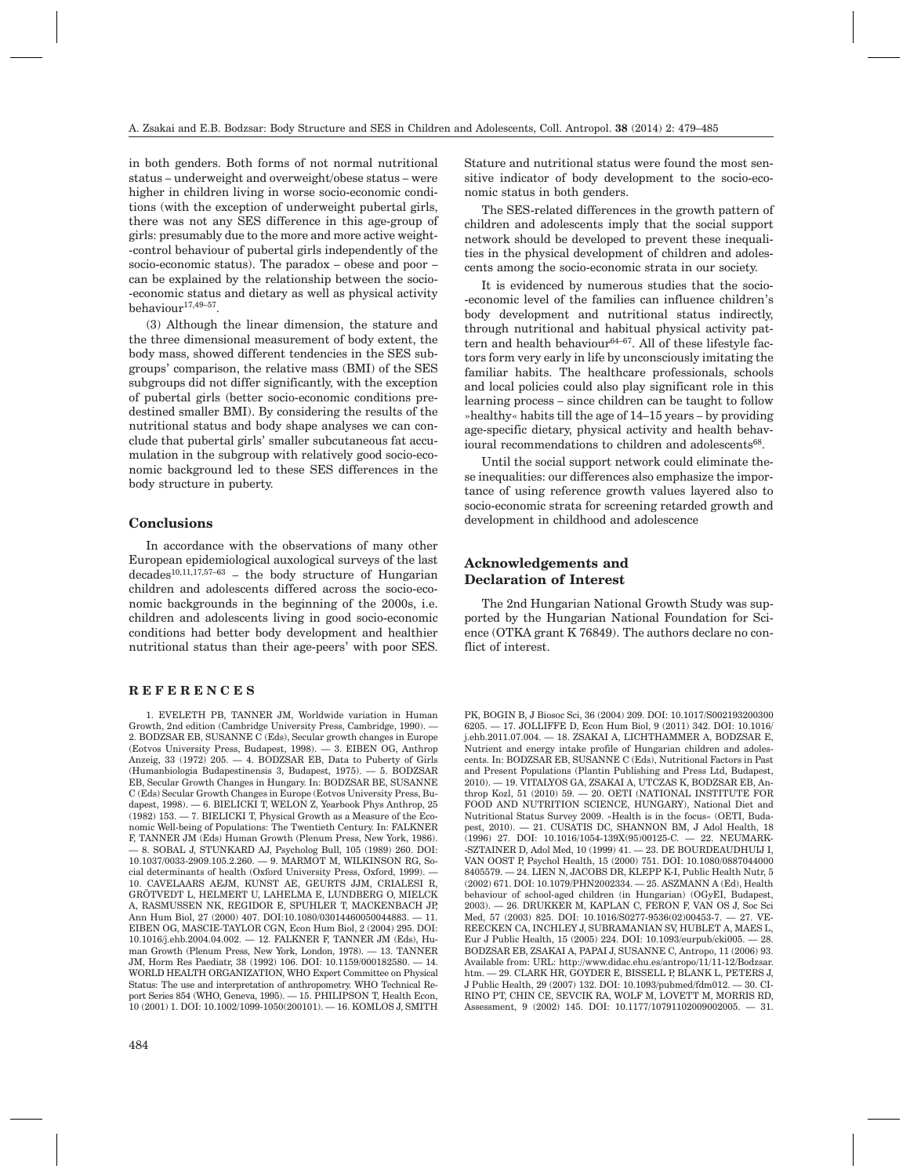in both genders. Both forms of not normal nutritional status – underweight and overweight/obese status – were higher in children living in worse socio-economic conditions (with the exception of underweight pubertal girls, there was not any SES difference in this age-group of girls: presumably due to the more and more active weight- -control behaviour of pubertal girls independently of the socio-economic status). The paradox – obese and poor – can be explained by the relationship between the socio- -economic status and dietary as well as physical activity behaviour17,49–57.

(3) Although the linear dimension, the stature and the three dimensional measurement of body extent, the body mass, showed different tendencies in the SES subgroups' comparison, the relative mass (BMI) of the SES subgroups did not differ significantly, with the exception of pubertal girls (better socio-economic conditions predestined smaller BMI). By considering the results of the nutritional status and body shape analyses we can conclude that pubertal girls' smaller subcutaneous fat accumulation in the subgroup with relatively good socio-economic background led to these SES differences in the body structure in puberty.

# **Conclusions**

In accordance with the observations of many other European epidemiological auxological surveys of the last  $decades^{10,11,17,57-63}$  – the body structure of Hungarian children and adolescents differed across the socio-economic backgrounds in the beginning of the 2000s, i.e. children and adolescents living in good socio-economic conditions had better body development and healthier nutritional status than their age-peers' with poor SES.

## **REFERENCES**

Stature and nutritional status were found the most sensitive indicator of body development to the socio-economic status in both genders.

The SES-related differences in the growth pattern of children and adolescents imply that the social support network should be developed to prevent these inequalities in the physical development of children and adolescents among the socio-economic strata in our society.

It is evidenced by numerous studies that the socio- -economic level of the families can influence children's body development and nutritional status indirectly, through nutritional and habitual physical activity pattern and health behaviour $64-67$ . All of these lifestyle factors form very early in life by unconsciously imitating the familiar habits. The healthcare professionals, schools and local policies could also play significant role in this learning process – since children can be taught to follow »healthy« habits till the age of 14–15 years – by providing age-specific dietary, physical activity and health behavioural recommendations to children and adolescents<sup>68</sup>.

Until the social support network could eliminate these inequalities: our differences also emphasize the importance of using reference growth values layered also to socio-economic strata for screening retarded growth and development in childhood and adolescence

# **Acknowledgements and Declaration of Interest**

The 2nd Hungarian National Growth Study was supported by the Hungarian National Foundation for Science (OTKA grant K 76849). The authors declare no conflict of interest.

<sup>1.</sup> EVELETH PB, TANNER JM, Worldwide variation in Human Growth, 2nd edition (Cambridge University Press, Cambridge, 1990). — 2. BODZSAR EB, SUSANNE C (Eds), Secular growth changes in Europe (Eotvos University Press, Budapest, 1998). — 3. EIBEN OG, Anthrop Anzeig, 33 (1972) 205. — 4. BODZSAR EB, Data to Puberty of Girls (Humanbiologia Budapestinensis 3, Budapest, 1975). — 5. BODZSAR EB, Secular Growth Changes in Hungary. In: BODZSAR BE, SUSANNE C (Eds) Secular Growth Changes in Europe (Eotvos University Press, Budapest, 1998). — 6. BIELICKI T, WELON Z, Yearbook Phys Anthrop, 25 (1982) 153. — 7. BIELICKI T, Physical Growth as a Measure of the Economic Well-being of Populations: The Twentieth Century. In: FALKNER F, TANNER JM (Eds) Human Growth (Plenum Press, New York, 1986). — 8. SOBAL J, STUNKARD AJ, Psycholog Bull, 105 (1989) 260. DOI: 10.1037/0033-2909.105.2.260. — 9. MARMOT M, WILKINSON RG, Social determinants of health (Oxford University Press, Oxford, 1999). — 10. CAVELAARS AEJM, KUNST AE, GEURTS JJM, CRIALESI R, GRÖTVEDT L, HELMERT U, LAHELMA E, LUNDBERG O, MIELCK A, RASMUSSEN NK, REGIDOR E, SPUHLER T, MACKENBACH JP, Ann Hum Biol, 27 (2000) 407. DOI:10.1080/03014460050044883. — 11. EIBEN OG, MASCIE-TAYLOR CGN, Econ Hum Biol, 2 (2004) 295. DOI: 10.1016/j.ehb.2004.04.002. — 12. FALKNER F, TANNER JM (Eds), Human Growth (Plenum Press, New York, London, 1978). — 13. TANNER JM, Horm Res Paediatr, 38 (1992) 106. DOI: 10.1159/000182580. — 14. WORLD HEALTH ORGANIZATION, WHO Expert Committee on Physical Status: The use and interpretation of anthropometry. WHO Technical Report Series 854 (WHO, Geneva, 1995). — 15. PHILIPSON T, Health Econ, 10 (2001) 1. DOI: 10.1002/1099-1050(200101). — 16. KOMLOS J, SMITH

PK, BOGIN B, J Biosoc Sci, 36 (2004) 209. DOI: 10.1017/S002193200300 6205. — 17. JOLLIFFE D, Econ Hum Biol, 9 (2011) 342. DOI: 10.1016/ j.ehb.2011.07.004. — 18. ZSAKAI A, LICHTHAMMER A, BODZSAR E, Nutrient and energy intake profile of Hungarian children and adolescents. In: BODZSAR EB, SUSANNE C (Eds), Nutritional Factors in Past and Present Populations (Plantin Publishing and Press Ltd, Budapest, 2010). — 19. VITALYOS GA, ZSAKAI A, UTCZAS K, BODZSAR EB, Anthrop Kozl, 51 (2010) 59. — 20. OETI (NATIONAL INSTITUTE FOR FOOD AND NUTRITION SCIENCE, HUNGARY), National Diet and Nutritional Status Survey 2009. »Health is in the focus« (OETI, Budapest, 2010). — 21. CUSATIS DC, SHANNON BM, J Adol Health, 18 (1996) 27. DOI: 10.1016/1054-139X(95)00125-C. — 22. NEUMARK- -SZTAINER D, Adol Med, 10 (1999) 41. — 23. DE BOURDEAUDHUIJ I, VAN OOST P, Psychol Health, 15 (2000) 751. DOI: 10.1080/0887044000 8405579. — 24. LIEN N, JACOBS DR, KLEPP K-I, Public Health Nutr, 5  $(2002)$  671. DOI: 10.1079/PHN2002334.  $-$  25. ASZMANN A (Ed), Health behaviour of school-aged children (in Hungarian) (OGyEI, Budapest, 2003). — 26. DRUKKER M, KAPLAN C, FERON F, VAN OS J, Soc Sci Med, 57 (2003) 825. DOI: 10.1016/S0277-9536(02)00453-7. — 27. VE-REECKEN CA, INCHLEY J, SUBRAMANIAN SV, HUBLET A, MAES L, Eur J Public Health, 15 (2005) 224. DOI: 10.1093/eurpub/cki005. — 28. BODZSAR EB, ZSAKAI A, PAPAI J, SUSANNE C, Antropo, 11 (2006) 93. Available from: URL: http://www.didac.ehu.es/antropo/11/11-12/Bodzsar. htm. — 29. CLARK HR, GOYDER E, BISSELL P, BLANK L, PETERS J, J Public Health, 29 (2007) 132. DOI: 10.1093/pubmed/fdm012. — 30. CI-RINO PT, CHIN CE, SEVCIK RA, WOLF M, LOVETT M, MORRIS RD, Assessment, 9 (2002) 145. DOI: 10.1177/10791102009002005. — 31.